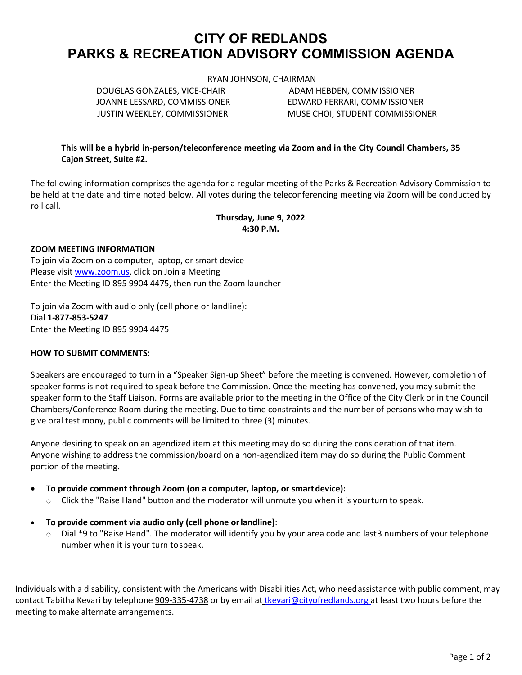# **CITY OF REDLANDS PARKS & RECREATION ADVISORY COMMISSION AGENDA**

RYAN JOHNSON, CHAIRMAN

JOANNE LESSARD, COMMISSIONER EDWARD FERRARI, COMMISSIONER

DOUGLAS GONZALES, VICE-CHAIR ADAM HEBDEN, COMMISSIONER JUSTIN WEEKLEY, COMMISSIONER MUSE CHOI, STUDENT COMMISSIONER

**This will be a hybrid in-person/teleconference meeting via Zoom and in the City Council Chambers, 35 Cajon Street, Suite #2.**

The following information comprises the agenda for a regular meeting of the Parks & Recreation Advisory Commission to be held at the date and time noted below. All votes during the teleconferencing meeting via Zoom will be conducted by roll call.

# **Thursday, June 9, 2022 4:30 P.M.**

## **ZOOM MEETING INFORMATION**

To join via Zoom on a computer, laptop, or smart device Please visi[t www.zoom.us,](https://zoom.us/) click on Join a Meeting Enter the Meeting ID 895 9904 4475, then run the Zoom launcher

To join via Zoom with audio only (cell phone or landline): Dial **1-877-853-5247** Enter the Meeting ID 895 9904 4475

## **HOW TO SUBMIT COMMENTS:**

Speakers are encouraged to turn in a "Speaker Sign-up Sheet" before the meeting is convened. However, completion of speaker forms is not required to speak before the Commission. Once the meeting has convened, you may submit the speaker form to the Staff Liaison. Forms are available prior to the meeting in the Office of the City Clerk or in the Council Chambers/Conference Room during the meeting. Due to time constraints and the number of persons who may wish to give oral testimony, public comments will be limited to three (3) minutes.

Anyone desiring to speak on an agendized item at this meeting may do so during the consideration of that item. Anyone wishing to address the commission/board on a non-agendized item may do so during the Public Comment portion of the meeting.

• **To provide comment through Zoom (on a computer, laptop, or smartdevice):**

- $\circ$  Click the "Raise Hand" button and the moderator will unmute you when it is yourturn to speak.
- **To provide comment via audio only (cell phone orlandline)**:
	- o Dial \*9 to "Raise Hand". The moderator will identify you by your area code and last3 numbers of your telephone number when it is your turn tospeak.

Individuals with a disability, consistent with the Americans with Disabilities Act, who needassistance with public comment, may contact Tabitha Kevari by telephone 909-335-4738 or by email at [tkevari@cityofredlands.org](mailto:tkevari@cityofredlands.org) at least two hours before the meeting to make alternate arrangements.